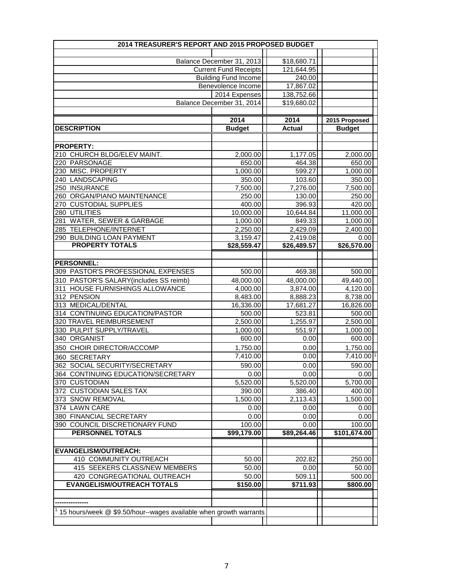| 2014 TREASURER'S REPORT AND 2015 PROPOSED BUDGET                             |                              |                     |                     |
|------------------------------------------------------------------------------|------------------------------|---------------------|---------------------|
|                                                                              |                              |                     |                     |
|                                                                              | Balance December 31, 2013    | \$18,680.71         |                     |
|                                                                              | <b>Current Fund Receipts</b> | 121,644.95          |                     |
|                                                                              | <b>Building Fund Income</b>  | 240.00              |                     |
|                                                                              | Benevolence Income           | 17,867.02           |                     |
|                                                                              | 2014 Expenses                | 138,752.66          |                     |
|                                                                              | Balance December 31, 2014    | \$19,680.02         |                     |
|                                                                              |                              |                     |                     |
|                                                                              | 2014                         | 2014                | 2015 Proposed       |
| <b>DESCRIPTION</b>                                                           | <b>Budget</b>                | <b>Actual</b>       | <b>Budget</b>       |
|                                                                              |                              |                     |                     |
| <b>PROPERTY:</b>                                                             |                              |                     |                     |
| 210 CHURCH BLDG/ELEV MAINT.                                                  | 2,000.00                     | 1,177.05            | 2,000.00            |
| 220 PARSONAGE                                                                | 650.00                       | 464.38              | 650.00              |
| 230 MISC. PROPERTY                                                           | 1,000.00                     | 599.27              | 1,000.00            |
| 240 LANDSCAPING                                                              | 350.00                       | 103.60              | 350.00              |
| 250 INSURANCE                                                                | 7,500.00                     | 7,276.00            | 7,500.00            |
| 260 ORGAN/PIANO MAINTENANCE                                                  | 250.00                       | 130.00              | 250.00              |
| 270 CUSTODIAL SUPPLIES                                                       | 400.00                       | 396.93              | 420.00              |
| 280 UTILITIES                                                                | 10,000.00                    | 10,644.84           | 11,000.00           |
| 281 WATER, SEWER & GARBAGE                                                   | 1,000.00                     | 849.33              | 1,000.00            |
| 285 TELEPHONE/INTERNET                                                       | 2,250.00                     | 2,429.09            | 2,400.00            |
| 290 BUILDING LOAN PAYMENT<br><b>PROPERTY TOTALS</b>                          | 3,159.47                     | 2,419.08            | 0.00                |
|                                                                              | \$28,559.47                  | \$26,489.57         | \$26,570.00         |
|                                                                              |                              |                     |                     |
| <b>PERSONNEL:</b>                                                            |                              |                     |                     |
| 309 PASTOR'S PROFESSIONAL EXPENSES<br>310 PASTOR'S SALARY(includes SS reimb) | 500.00<br>48,000.00          | 469.38<br>48,000.00 | 500.00<br>49,440.00 |
| 311 HOUSE FURNISHINGS ALLOWANCE                                              | 4,000.00                     | 3,874.00            | 4,120.00            |
| 312 PENSION                                                                  | $\overline{8,}483.00$        | 8,888.23            | 8,738.00            |
| 313 MEDICAL/DENTAL                                                           | 16,336.00                    | 17,681.27           | 16,826.00           |
| 314 CONTINUING EDUCATION/PASTOR                                              | 500.00                       | 523.81              | 500.00              |
| 320 TRAVEL REIMBURSEMENT                                                     | 2,500.00                     | 1,255.97            | 2,500.00            |
| 330 PULPIT SUPPLY/TRAVEL                                                     | 1,000.00                     | 551.97              | 1,000.00            |
| 340 ORGANIST                                                                 | 600.00                       | 0.00                | 600.00              |
| 350 CHOIR DIRECTOR/ACCOMP                                                    | 1,750.00                     | 0.00                | 1,750.00            |
| 360 SECRETARY                                                                | 7,410.00                     | 0.00                | 7,410.00            |
| 362 SOCIAL SECURITY/SECRETARY                                                | 590.00                       | 0.00                | 590.00              |
| 364 CONTINUING EDUCATION/SECRETARY                                           | 0.00                         | 0.00                | 0.00                |
| 370 CUSTODIAN                                                                | 5,520.00                     | 5,520.00            | 5,700.00            |
| 372 CUSTODIAN SALES TAX                                                      | 390.00                       | 386.40              | 400.00              |
| 373 SNOW REMOVAL                                                             | 1,500.00                     | 2,113.43            | 1,500.00            |
| 374 LAWN CARE                                                                | 0.00                         | 0.00                | 0.00                |
| 380 FINANCIAL SECRETARY                                                      | 0.00                         | 0.00                | 0.00                |
| 390 COUNCIL DISCRETIONARY FUND                                               | 100.00                       | 0.00                | 100.00              |
| PERSONNEL TOTALS                                                             | \$99,179.00                  | \$89,264.46         | \$101,674.00        |
|                                                                              |                              |                     |                     |
| <b>EVANGELISM/OUTREACH:</b>                                                  |                              |                     |                     |
| 410 COMMUNITY OUTREACH                                                       | 50.00                        | 202.82              | 250.00              |
| 415 SEEKERS CLASS/NEW MEMBERS                                                | 50.00                        | 0.00                | 50.00               |
| 420 CONGREGATIONAL OUTREACH                                                  | 50.00                        | 509.11              | 500.00              |
| <b>EVANGELISM/OUTREACH TOTALS</b>                                            | \$150.00                     | \$711.93            | \$800.00            |
|                                                                              |                              |                     |                     |
|                                                                              |                              |                     |                     |
| 15 hours/week @ \$9.50/hour--wages available when growth warrants            |                              |                     |                     |
|                                                                              |                              |                     |                     |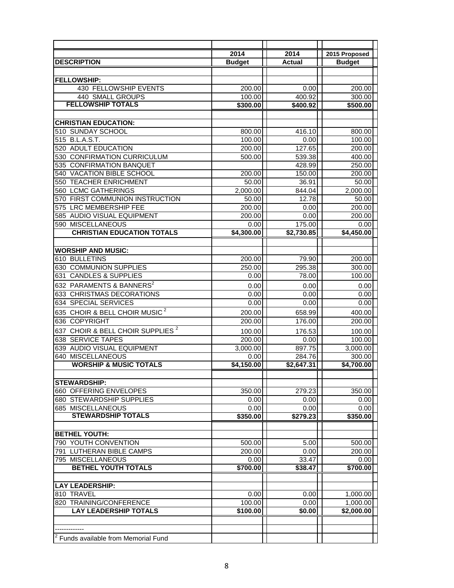|                                                 | 2014          | 2014                   | 2015 Proposed |
|-------------------------------------------------|---------------|------------------------|---------------|
| <b>DESCRIPTION</b>                              | <b>Budget</b> | <b>Actual</b>          | <b>Budget</b> |
|                                                 |               |                        |               |
| <b>FELLOWSHIP:</b>                              |               |                        |               |
| <b>430 FELLOWSHIP EVENTS</b>                    | 200.00        | 0.00                   | 200.00        |
| 440 SMALL GROUPS                                | 100.00        | 400.92                 | 300.00        |
| <b>FELLOWSHIP TOTALS</b>                        | \$300.00      | \$400.92               | \$500.00      |
|                                                 |               |                        |               |
| <b>CHRISTIAN EDUCATION:</b>                     |               |                        |               |
| 510 SUNDAY SCHOOL                               | 800.00        | 416.10                 | 800.00        |
| 515 B.L.A.S.T.                                  | 100.00        | 0.00                   | 100.00        |
| <b>ADULT EDUCATION</b><br>520                   | 200.00        | 127.65                 | 200.00        |
| <b>CONFIRMATION CURRICULUM</b><br>530           | 500.00        | 539.38                 | 400.00        |
| <b>CONFIRMATION BANQUET</b><br>535              |               | 428.99                 | 250.00        |
| VACATION BIBLE SCHOOL<br>540                    | 200.00        | 150.00                 | 200.00        |
| <b>TEACHER ENRICHMENT</b><br>550                | 50.00         | 36.91                  | 50.00         |
| <b>560 LCMC GATHERINGS</b>                      | 2,000.00      | 844.04                 | 2.000.00      |
| 570 FIRST COMMUNION INSTRUCTION                 | 50.00         | 12.78                  | 50.00         |
| 575 LRC MEMBERSHIP FEE                          | 200.00        | 0.00                   | 200.00        |
| 585 AUDIO VISUAL EQUIPMENT                      | 200.00        | 0.00                   | 200.00        |
| 590 MISCELLANEOUS                               | 0.00          | 175.00                 | 0.00          |
| <b>CHRISTIAN EDUCATION TOTALS</b>               | \$4,300.00    | $\overline{$2,730.85}$ | \$4,450.00    |
|                                                 |               |                        |               |
| <b>WORSHIP AND MUSIC:</b>                       |               |                        |               |
| 610 BULLETINS                                   | 200.00        | 79.90                  | 200.00        |
| 630 COMMUNION SUPPLIES                          | 250.00        | 295.38                 | 300.00        |
| <b>CANDLES &amp; SUPPLIES</b><br>631            | 0.00          | 78.00                  | 100.00        |
| 632 PARAMENTS & BANNERS <sup>2</sup>            | 0.00          | 0.00                   | 0.00          |
| 633 CHRISTMAS DECORATIONS                       | 0.00          | 0.00                   | 0.00          |
| 634 SPECIAL SERVICES                            | 0.00          | 0.00                   | 0.00          |
| 635 CHOIR & BELL CHOIR MUSIC <sup>2</sup>       | 200.00        | 658.99                 | 400.00        |
| <b>COPYRIGHT</b><br>636                         | 200.00        | 176.00                 | 200.00        |
| CHOIR & BELL CHOIR SUPPLIES <sup>2</sup><br>637 | 100.00        | 176.53                 | 100.00        |
| 638 SERVICE TAPES                               | 200.00        | 0.00                   | 100.00        |
| 639 AUDIO VISUAL EQUIPMENT                      | 3,000.00      | 897.75                 | 3,000.00      |
| 640 MISCELLANEOUS                               | 0.00          | 284.76                 | 300.00        |
| <b>WORSHIP &amp; MUSIC TOTALS</b>               | \$4,150.00    | \$2,647.31             | \$4,700.00    |
|                                                 |               |                        |               |
| <b>STEWARDSHIP:</b>                             |               |                        |               |
| 660 OFFERING ENVELOPES                          | 350.00        | 279.23                 | 350.00        |
| 680 STEWARDSHIP SUPPLIES                        | 0.00          | 0.00                   | 0.00          |
| <b>685 MISCELLANEOUS</b>                        | 0.00          | 0.00                   | 0.00          |
| <b>STEWARDSHIP TOTALS</b>                       | \$350.00      | \$279.23               | \$350.00      |
|                                                 |               |                        |               |
| <b>BETHEL YOUTH:</b>                            |               |                        |               |
| 790 YOUTH CONVENTION                            | 500.00        | 5.00                   | 500.00        |
| 791 LUTHERAN BIBLE CAMPS                        | 200.00        | 0.00                   | 200.00        |
| 795 MISCELLANEOUS                               | 0.00          | 33.47                  | 0.00          |
| <b>BETHEL YOUTH TOTALS</b>                      | \$700.00      | \$38.47                | \$700.00      |
|                                                 |               |                        |               |
| <b>LAY LEADERSHIP:</b>                          |               |                        |               |
| 810 TRAVEL                                      | 0.00          | 0.00                   | 1,000.00      |
| 820 TRAINING/CONFERENCE                         | 100.00        | 0.00                   | 1,000.00      |
| <b>LAY LEADERSHIP TOTALS</b>                    | \$100.00      | \$0.00                 | \$2,000.00    |
|                                                 |               |                        |               |
|                                                 |               |                        |               |
| Funds available from Memorial Fund              |               |                        |               |